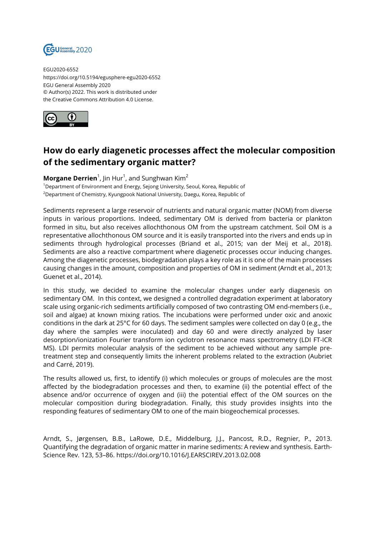

EGU2020-6552 https://doi.org/10.5194/egusphere-egu2020-6552 EGU General Assembly 2020 © Author(s) 2022. This work is distributed under the Creative Commons Attribution 4.0 License.



## **How do early diagenetic processes affect the molecular composition of the sedimentary organic matter?**

**Morgane Derrien**<sup>1</sup>, Jin Hur<sup>1</sup>, and Sunghwan Kim<sup>2</sup> <sup>1</sup>Department of Environment and Energy, Sejong University, Seoul, Korea, Republic of <sup>2</sup>Department of Chemistry, Kyungpook National University, Daegu, Korea, Republic of

Sediments represent a large reservoir of nutrients and natural organic matter (NOM) from diverse inputs in various proportions. Indeed, sedimentary OM is derived from bacteria or plankton formed in situ, but also receives allochthonous OM from the upstream catchment. Soil OM is a representative allochthonous OM source and it is easily transported into the rivers and ends up in sediments through hydrological processes (Briand et al., 2015; van der Meij et al., 2018). Sediments are also a reactive compartment where diagenetic processes occur inducing changes. Among the diagenetic processes, biodegradation plays a key role as it is one of the main processes causing changes in the amount, composition and properties of OM in sediment (Arndt et al., 2013; Guenet et al., 2014).

In this study, we decided to examine the molecular changes under early diagenesis on sedimentary OM. In this context, we designed a controlled degradation experiment at laboratory scale using organic-rich sediments artificially composed of two contrasting OM end-members (i.e., soil and algae) at known mixing ratios. The incubations were performed under oxic and anoxic conditions in the dark at 25°C for 60 days. The sediment samples were collected on day 0 (e.g., the day where the samples were inoculated) and day 60 and were directly analyzed by laser desorption/ionization Fourier transform ion cyclotron resonance mass spectrometry (LDI FT-ICR MS). LDI permits molecular analysis of the sediment to be achieved without any sample pretreatment step and consequently limits the inherent problems related to the extraction (Aubriet and Carré, 2019).

The results allowed us, first, to identify (i) which molecules or groups of molecules are the most affected by the biodegradation processes and then, to examine (ii) the potential effect of the absence and/or occurrence of oxygen and (iii) the potential effect of the OM sources on the molecular composition during biodegradation. Finally, this study provides insights into the responding features of sedimentary OM to one of the main biogeochemical processes.

Arndt, S., Jørgensen, B.B., LaRowe, D.E., Middelburg, J.J., Pancost, R.D., Regnier, P., 2013. Quantifying the degradation of organic matter in marine sediments: A review and synthesis. Earth-Science Rev. 123, 53–86. https://doi.org/10.1016/J.EARSCIREV.2013.02.008